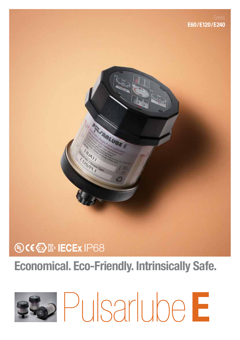

## Economical. Eco-Friendly. Intrinsically Safe.